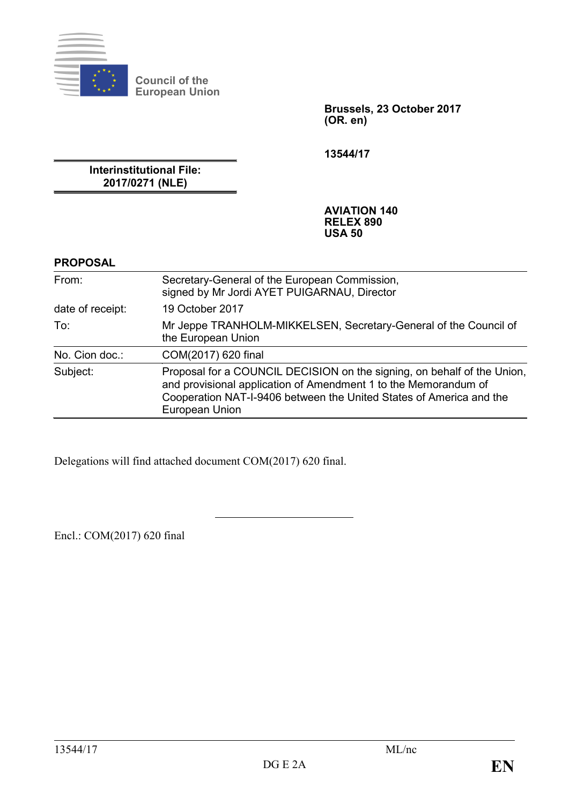

**Council of the European Union**

> **Brussels, 23 October 2017 (OR. en)**

**13544/17**

**Interinstitutional File: 2017/0271 (NLE)**

> **AVIATION 140 RELEX 890 USA 50**

## **PROPOSAL**

| From:            | Secretary-General of the European Commission,<br>signed by Mr Jordi AYET PUIGARNAU, Director                                                                                                                                        |
|------------------|-------------------------------------------------------------------------------------------------------------------------------------------------------------------------------------------------------------------------------------|
| date of receipt: | 19 October 2017                                                                                                                                                                                                                     |
| To:              | Mr Jeppe TRANHOLM-MIKKELSEN, Secretary-General of the Council of<br>the European Union                                                                                                                                              |
| No. Cion doc.:   | COM(2017) 620 final                                                                                                                                                                                                                 |
| Subject:         | Proposal for a COUNCIL DECISION on the signing, on behalf of the Union,<br>and provisional application of Amendment 1 to the Memorandum of<br>Cooperation NAT-I-9406 between the United States of America and the<br>European Union |

Delegations will find attached document COM(2017) 620 final.

Encl.: COM(2017) 620 final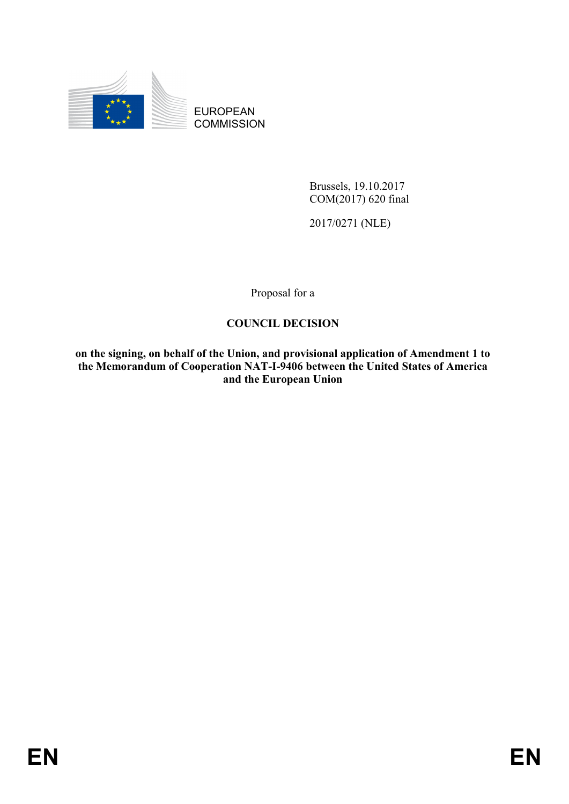

EUROPEAN **COMMISSION** 

> Brussels, 19.10.2017 COM(2017) 620 final

2017/0271 (NLE)

Proposal for a

# **COUNCIL DECISION**

**on the signing, on behalf of the Union, and provisional application of Amendment 1 to the Memorandum of Cooperation NAT-I-9406 between the United States of America and the European Union**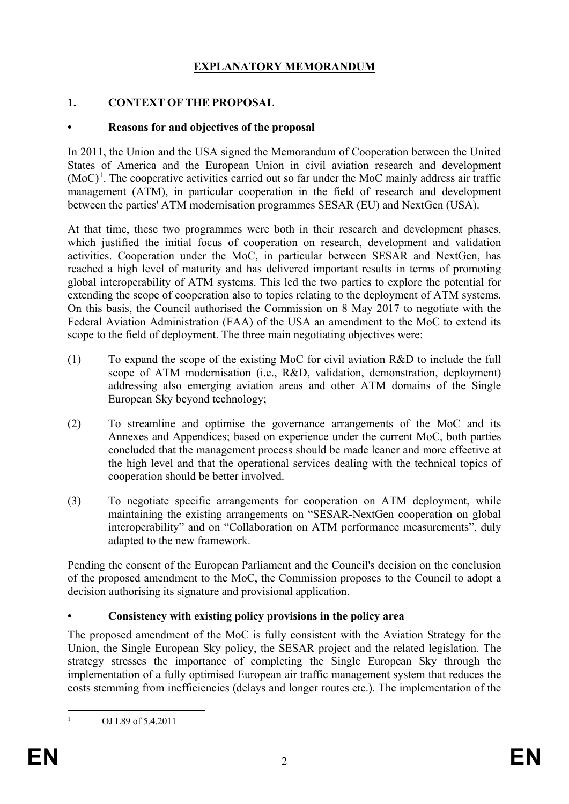# **EXPLANATORY MEMORANDUM**

## **1. CONTEXT OF THE PROPOSAL**

## **• Reasons for and objectives of the proposal**

In 2011, the Union and the USA signed the Memorandum of Cooperation between the United States of America and the European Union in civil aviation research and development  $(MoC)^1$  $(MoC)^1$ . The cooperative activities carried out so far under the MoC mainly address air traffic management (ATM), in particular cooperation in the field of research and development between the parties' ATM modernisation programmes SESAR (EU) and NextGen (USA).

At that time, these two programmes were both in their research and development phases, which justified the initial focus of cooperation on research, development and validation activities. Cooperation under the MoC, in particular between SESAR and NextGen, has reached a high level of maturity and has delivered important results in terms of promoting global interoperability of ATM systems. This led the two parties to explore the potential for extending the scope of cooperation also to topics relating to the deployment of ATM systems. On this basis, the Council authorised the Commission on 8 May 2017 to negotiate with the Federal Aviation Administration (FAA) of the USA an amendment to the MoC to extend its scope to the field of deployment. The three main negotiating objectives were:

- (1) To expand the scope of the existing MoC for civil aviation R&D to include the full scope of ATM modernisation (i.e., R&D, validation, demonstration, deployment) addressing also emerging aviation areas and other ATM domains of the Single European Sky beyond technology;
- (2) To streamline and optimise the governance arrangements of the MoC and its Annexes and Appendices; based on experience under the current MoC, both parties concluded that the management process should be made leaner and more effective at the high level and that the operational services dealing with the technical topics of cooperation should be better involved.
- (3) To negotiate specific arrangements for cooperation on ATM deployment, while maintaining the existing arrangements on "SESAR-NextGen cooperation on global interoperability" and on "Collaboration on ATM performance measurements", duly adapted to the new framework.

Pending the consent of the European Parliament and the Council's decision on the conclusion of the proposed amendment to the MoC, the Commission proposes to the Council to adopt a decision authorising its signature and provisional application.

## **• Consistency with existing policy provisions in the policy area**

The proposed amendment of the MoC is fully consistent with the Aviation Strategy for the Union, the Single European Sky policy, the SESAR project and the related legislation. The strategy stresses the importance of completing the Single European Sky through the implementation of a fully optimised European air traffic management system that reduces the costs stemming from inefficiencies (delays and longer routes etc.). The implementation of the

<span id="page-2-0"></span> <sup>1</sup> OJ L89 of 5.4.2011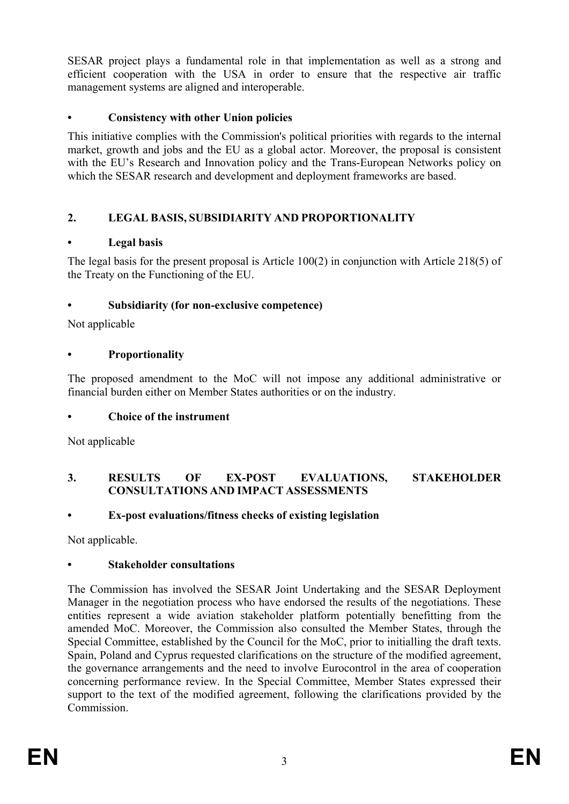SESAR project plays a fundamental role in that implementation as well as a strong and efficient cooperation with the USA in order to ensure that the respective air traffic management systems are aligned and interoperable.

## **• Consistency with other Union policies**

This initiative complies with the Commission's political priorities with regards to the internal market, growth and jobs and the EU as a global actor. Moreover, the proposal is consistent with the EU's Research and Innovation policy and the Trans-European Networks policy on which the SESAR research and development and deployment frameworks are based.

# **2. LEGAL BASIS, SUBSIDIARITY AND PROPORTIONALITY**

## **• Legal basis**

The legal basis for the present proposal is Article 100(2) in conjunction with Article 218(5) of the Treaty on the Functioning of the EU.

## **• Subsidiarity (for non-exclusive competence)**

Not applicable

## **• Proportionality**

The proposed amendment to the MoC will not impose any additional administrative or financial burden either on Member States authorities or on the industry.

# **• Choice of the instrument**

Not applicable

## **3. RESULTS OF EX-POST EVALUATIONS, STAKEHOLDER CONSULTATIONS AND IMPACT ASSESSMENTS**

# **• Ex-post evaluations/fitness checks of existing legislation**

Not applicable.

# **• Stakeholder consultations**

The Commission has involved the SESAR Joint Undertaking and the SESAR Deployment Manager in the negotiation process who have endorsed the results of the negotiations. These entities represent a wide aviation stakeholder platform potentially benefitting from the amended MoC. Moreover, the Commission also consulted the Member States, through the Special Committee, established by the Council for the MoC, prior to initialling the draft texts. Spain, Poland and Cyprus requested clarifications on the structure of the modified agreement, the governance arrangements and the need to involve Eurocontrol in the area of cooperation concerning performance review. In the Special Committee, Member States expressed their support to the text of the modified agreement, following the clarifications provided by the Commission.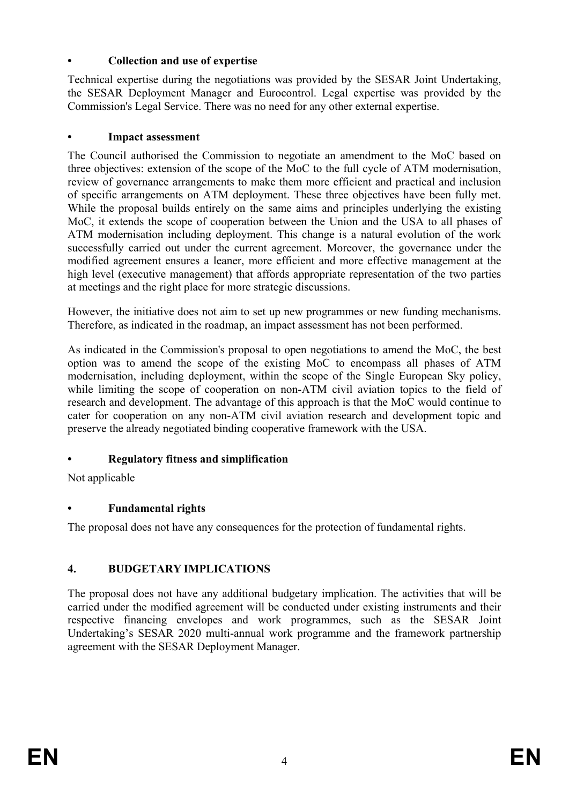## **• Collection and use of expertise**

Technical expertise during the negotiations was provided by the SESAR Joint Undertaking, the SESAR Deployment Manager and Eurocontrol. Legal expertise was provided by the Commission's Legal Service. There was no need for any other external expertise.

## **• Impact assessment**

The Council authorised the Commission to negotiate an amendment to the MoC based on three objectives: extension of the scope of the MoC to the full cycle of ATM modernisation, review of governance arrangements to make them more efficient and practical and inclusion of specific arrangements on ATM deployment. These three objectives have been fully met. While the proposal builds entirely on the same aims and principles underlying the existing MoC, it extends the scope of cooperation between the Union and the USA to all phases of ATM modernisation including deployment. This change is a natural evolution of the work successfully carried out under the current agreement. Moreover, the governance under the modified agreement ensures a leaner, more efficient and more effective management at the high level (executive management) that affords appropriate representation of the two parties at meetings and the right place for more strategic discussions.

However, the initiative does not aim to set up new programmes or new funding mechanisms. Therefore, as indicated in the roadmap, an impact assessment has not been performed.

As indicated in the Commission's proposal to open negotiations to amend the MoC, the best option was to amend the scope of the existing MoC to encompass all phases of ATM modernisation, including deployment, within the scope of the Single European Sky policy, while limiting the scope of cooperation on non-ATM civil aviation topics to the field of research and development. The advantage of this approach is that the MoC would continue to cater for cooperation on any non-ATM civil aviation research and development topic and preserve the already negotiated binding cooperative framework with the USA.

# **• Regulatory fitness and simplification**

Not applicable

# **• Fundamental rights**

The proposal does not have any consequences for the protection of fundamental rights.

# **4. BUDGETARY IMPLICATIONS**

The proposal does not have any additional budgetary implication. The activities that will be carried under the modified agreement will be conducted under existing instruments and their respective financing envelopes and work programmes, such as the SESAR Joint Undertaking's SESAR 2020 multi-annual work programme and the framework partnership agreement with the SESAR Deployment Manager.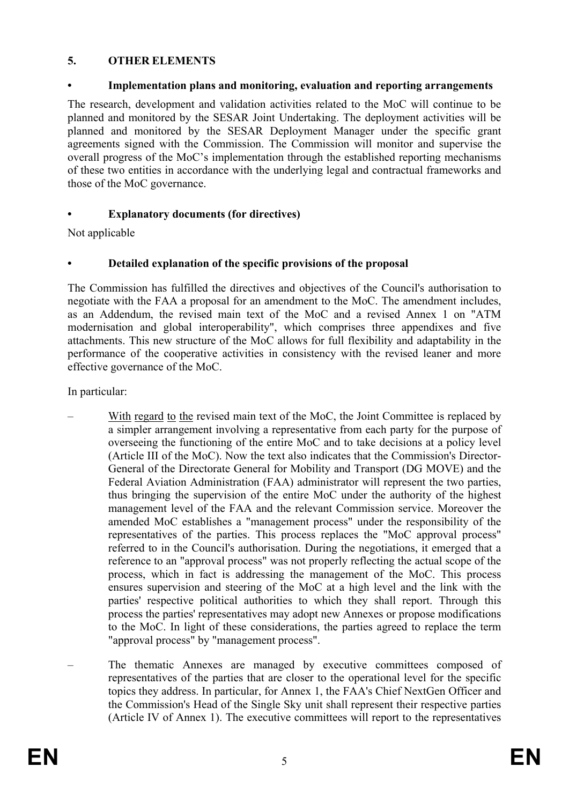## **5. OTHER ELEMENTS**

## **• Implementation plans and monitoring, evaluation and reporting arrangements**

The research, development and validation activities related to the MoC will continue to be planned and monitored by the SESAR Joint Undertaking. The deployment activities will be planned and monitored by the SESAR Deployment Manager under the specific grant agreements signed with the Commission. The Commission will monitor and supervise the overall progress of the MoC's implementation through the established reporting mechanisms of these two entities in accordance with the underlying legal and contractual frameworks and those of the MoC governance.

# **• Explanatory documents (for directives)**

Not applicable

## **• Detailed explanation of the specific provisions of the proposal**

The Commission has fulfilled the directives and objectives of the Council's authorisation to negotiate with the FAA a proposal for an amendment to the MoC. The amendment includes, as an Addendum, the revised main text of the MoC and a revised Annex 1 on "ATM modernisation and global interoperability", which comprises three appendixes and five attachments. This new structure of the MoC allows for full flexibility and adaptability in the performance of the cooperative activities in consistency with the revised leaner and more effective governance of the MoC.

In particular:

- With regard to the revised main text of the MoC, the Joint Committee is replaced by a simpler arrangement involving a representative from each party for the purpose of overseeing the functioning of the entire MoC and to take decisions at a policy level (Article III of the MoC). Now the text also indicates that the Commission's Director-General of the Directorate General for Mobility and Transport (DG MOVE) and the Federal Aviation Administration (FAA) administrator will represent the two parties, thus bringing the supervision of the entire MoC under the authority of the highest management level of the FAA and the relevant Commission service. Moreover the amended MoC establishes a "management process" under the responsibility of the representatives of the parties. This process replaces the "MoC approval process" referred to in the Council's authorisation. During the negotiations, it emerged that a reference to an "approval process" was not properly reflecting the actual scope of the process, which in fact is addressing the management of the MoC. This process ensures supervision and steering of the MoC at a high level and the link with the parties' respective political authorities to which they shall report. Through this process the parties' representatives may adopt new Annexes or propose modifications to the MoC. In light of these considerations, the parties agreed to replace the term "approval process" by "management process".
- The thematic Annexes are managed by executive committees composed of representatives of the parties that are closer to the operational level for the specific topics they address. In particular, for Annex 1, the FAA's Chief NextGen Officer and the Commission's Head of the Single Sky unit shall represent their respective parties (Article IV of Annex 1). The executive committees will report to the representatives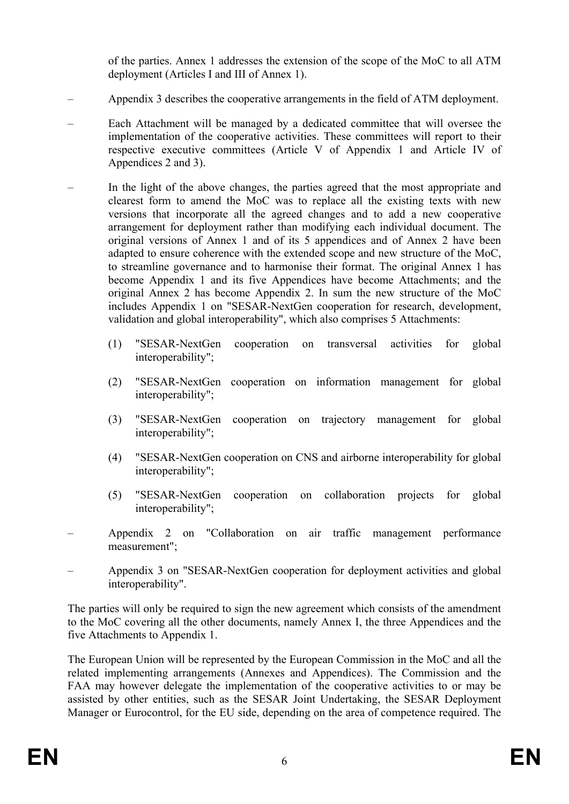of the parties. Annex 1 addresses the extension of the scope of the MoC to all ATM deployment (Articles I and III of Annex 1).

- Appendix 3 describes the cooperative arrangements in the field of ATM deployment.
- Each Attachment will be managed by a dedicated committee that will oversee the implementation of the cooperative activities. These committees will report to their respective executive committees (Article V of Appendix 1 and Article IV of Appendices 2 and 3).
- In the light of the above changes, the parties agreed that the most appropriate and clearest form to amend the MoC was to replace all the existing texts with new versions that incorporate all the agreed changes and to add a new cooperative arrangement for deployment rather than modifying each individual document. The original versions of Annex 1 and of its 5 appendices and of Annex 2 have been adapted to ensure coherence with the extended scope and new structure of the MoC, to streamline governance and to harmonise their format. The original Annex 1 has become Appendix 1 and its five Appendices have become Attachments; and the original Annex 2 has become Appendix 2. In sum the new structure of the MoC includes Appendix 1 on "SESAR-NextGen cooperation for research, development, validation and global interoperability", which also comprises 5 Attachments:
	- (1) "SESAR-NextGen cooperation on transversal activities for global interoperability";
	- (2) "SESAR-NextGen cooperation on information management for global interoperability";
	- (3) "SESAR-NextGen cooperation on trajectory management for global interoperability";
	- (4) "SESAR-NextGen cooperation on CNS and airborne interoperability for global interoperability";
	- (5) "SESAR-NextGen cooperation on collaboration projects for global interoperability";
- Appendix 2 on "Collaboration on air traffic management performance measurement";
- Appendix 3 on "SESAR-NextGen cooperation for deployment activities and global interoperability".

The parties will only be required to sign the new agreement which consists of the amendment to the MoC covering all the other documents, namely Annex I, the three Appendices and the five Attachments to Appendix 1.

The European Union will be represented by the European Commission in the MoC and all the related implementing arrangements (Annexes and Appendices). The Commission and the FAA may however delegate the implementation of the cooperative activities to or may be assisted by other entities, such as the SESAR Joint Undertaking, the SESAR Deployment Manager or Eurocontrol, for the EU side, depending on the area of competence required. The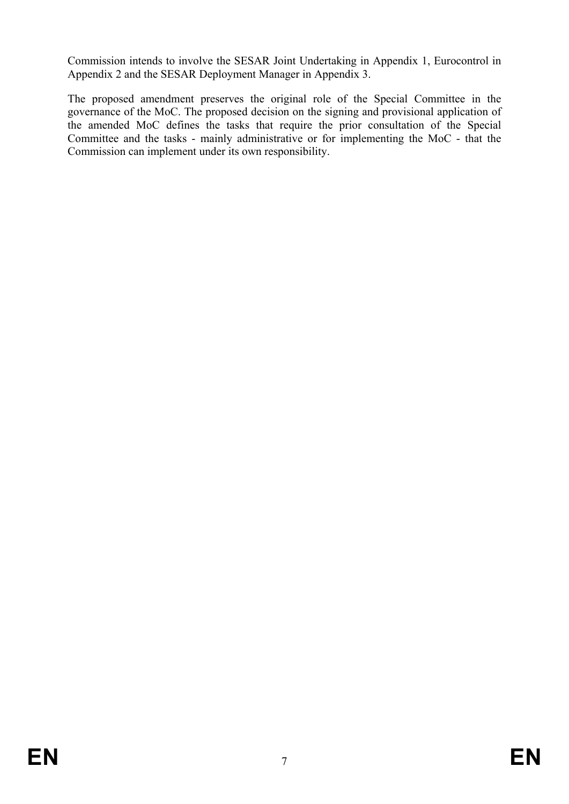Commission intends to involve the SESAR Joint Undertaking in Appendix 1, Eurocontrol in Appendix 2 and the SESAR Deployment Manager in Appendix 3.

The proposed amendment preserves the original role of the Special Committee in the governance of the MoC. The proposed decision on the signing and provisional application of the amended MoC defines the tasks that require the prior consultation of the Special Committee and the tasks - mainly administrative or for implementing the MoC - that the Commission can implement under its own responsibility.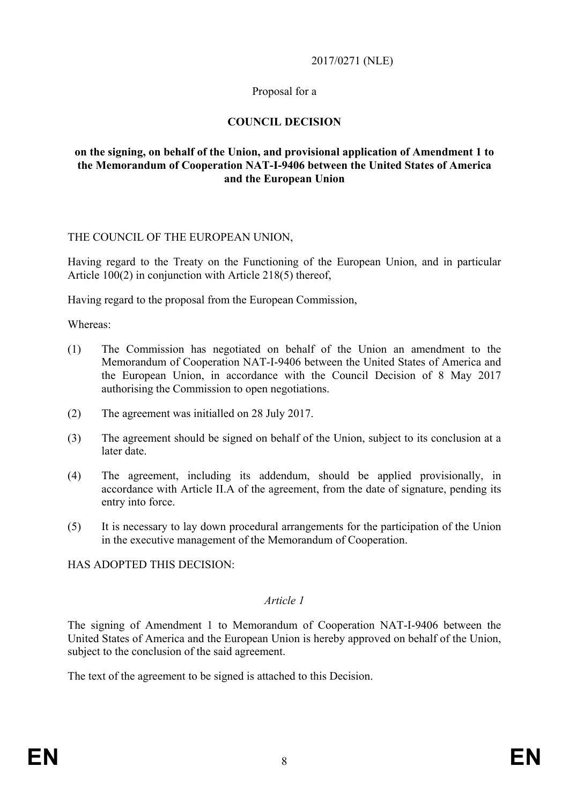### 2017/0271 (NLE)

## Proposal for a

## **COUNCIL DECISION**

### **on the signing, on behalf of the Union, and provisional application of Amendment 1 to the Memorandum of Cooperation NAT-I-9406 between the United States of America and the European Union**

### THE COUNCIL OF THE EUROPEAN UNION,

Having regard to the Treaty on the Functioning of the European Union, and in particular Article 100(2) in conjunction with Article 218(5) thereof,

Having regard to the proposal from the European Commission,

Whereas:

- (1) The Commission has negotiated on behalf of the Union an amendment to the Memorandum of Cooperation NAT-I-9406 between the United States of America and the European Union, in accordance with the Council Decision of 8 May 2017 authorising the Commission to open negotiations.
- (2) The agreement was initialled on 28 July 2017.
- (3) The agreement should be signed on behalf of the Union, subject to its conclusion at a later date.
- (4) The agreement, including its addendum, should be applied provisionally, in accordance with Article II.A of the agreement, from the date of signature, pending its entry into force.
- (5) It is necessary to lay down procedural arrangements for the participation of the Union in the executive management of the Memorandum of Cooperation.

HAS ADOPTED THIS DECISION:

#### *Article 1*

The signing of Amendment 1 to Memorandum of Cooperation NAT-I-9406 between the United States of America and the European Union is hereby approved on behalf of the Union, subject to the conclusion of the said agreement.

The text of the agreement to be signed is attached to this Decision.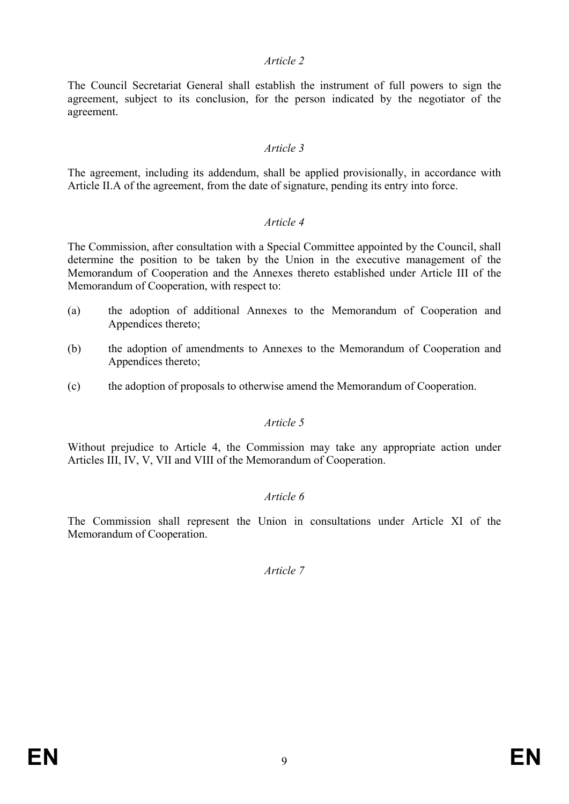### *Article 2*

The Council Secretariat General shall establish the instrument of full powers to sign the agreement, subject to its conclusion, for the person indicated by the negotiator of the agreement.

### *Article 3*

The agreement, including its addendum, shall be applied provisionally, in accordance with Article II.A of the agreement, from the date of signature, pending its entry into force.

#### *Article 4*

The Commission, after consultation with a Special Committee appointed by the Council, shall determine the position to be taken by the Union in the executive management of the Memorandum of Cooperation and the Annexes thereto established under Article III of the Memorandum of Cooperation, with respect to:

- (a) the adoption of additional Annexes to the Memorandum of Cooperation and Appendices thereto;
- (b) the adoption of amendments to Annexes to the Memorandum of Cooperation and Appendices thereto;
- (c) the adoption of proposals to otherwise amend the Memorandum of Cooperation.

### *Article 5*

Without prejudice to Article 4, the Commission may take any appropriate action under Articles III, IV, V, VII and VIII of the Memorandum of Cooperation.

### *Article 6*

The Commission shall represent the Union in consultations under Article XI of the Memorandum of Cooperation.

*Article 7*